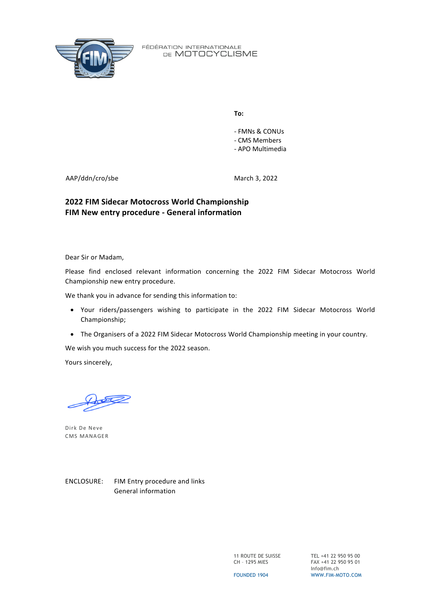

**To:**

- FMNs & CONUs - CMS Members - APO Multimedia

AAP/ddn/cro/sbe

March 3, 2022

## **2022 FIM Sidecar Motocross World Championship FIM New entry procedure - General information**

Dear Sir or Madam,

Please find enclosed relevant information concerning the 2022 FIM Sidecar Motocross World Championship new entry procedure.

We thank you in advance for sending this information to:

- Your riders/passengers wishing to participate in the 2022 FIM Sidecar Motocross World Championship;
- The Organisers of a 2022 FIM Sidecar Motocross World Championship meeting in your country.

We wish you much success for the 2022 season.

Yours sincerely,

Dirk De Neve CMS MANAGER

ENCLOSURE: FIM Entry procedure and links General information

> 11 ROUTE DE SUISSE CH – 1295 MIES

TEL +41 22 950 95 00 FAX +41 22 950 95 01 Info@fim.ch WWW.FIM-MOTO.COM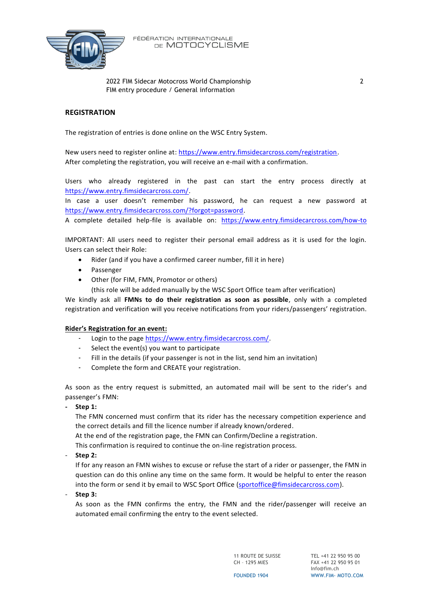

2022 FIM Sidecar Motocross World Championship 2 FIM entry procedure / General information

### **REGISTRATION**

The registration of entries is done online on the WSC Entry System.

New users need to register online at: [https://www.entry.fimsidecarcross.com/registration.](https://www.entry.fimsidecarcross.com/registration) After completing the registration, you will receive an e-mail with a confirmation.

Users who already registered in the past can start the entry process directly at [https://www.entry.fimsidecarcross.com/.](https://www.entry.fimsidecarcross.com/)

In case a user doesn't remember his password, he can request a new password at [https://www.entry.fimsidecarcross.com/?forgot=password.](https://www.entry.fimsidecarcross.com/?forgot=password)

A complete detailed help-file is available on: <https://www.entry.fimsidecarcross.com/how-to>

IMPORTANT: All users need to register their personal email address as it is used for the login. Users can select their Role:

- Rider (and if you have a confirmed career number, fill it in here)
- Passenger
- Other (for FIM, FMN, Promotor or others)
- (this role will be added manually by the WSC Sport Office team after verification)

We kindly ask all **FMNs to do their registration as soon as possible**, only with a completed registration and verification will you receive notifications from your riders/passengers' registration.

#### **Rider's Registration for an event:**

- Login to the page [https://www.entry.fimsidecarcross.com/.](https://www.entry.fimsidecarcross.com/)
- Select the event(s) you want to participate
- Fill in the details (if your passenger is not in the list, send him an invitation)
- Complete the form and CREATE your registration.

As soon as the entry request is submitted, an automated mail will be sent to the rider's and passenger's FMN:

**- Step 1:**

The FMN concerned must confirm that its rider has the necessary competition experience and the correct details and fill the licence number if already known/ordered.

At the end of the registration page, the FMN can Confirm/Decline a registration.

This confirmation is required to continue the on-line registration process.

- **Step 2:**

If for any reason an FMN wishes to excuse or refuse the start of a rider or passenger, the FMN in question can do this online any time on the same form. It would be helpful to enter the reason into the form or send it by email to WSC Sport Office [\(sportoffice@fimsidecarcross.com\)](mailto:sportoffice@fimsidecarcross.com).

- **Step 3:**

As soon as the FMN confirms the entry, the FMN and the rider/passenger will receive an automated email confirming the entry to the event selected.

> 11 ROUTE DE SUISSE CH – 1295 MIES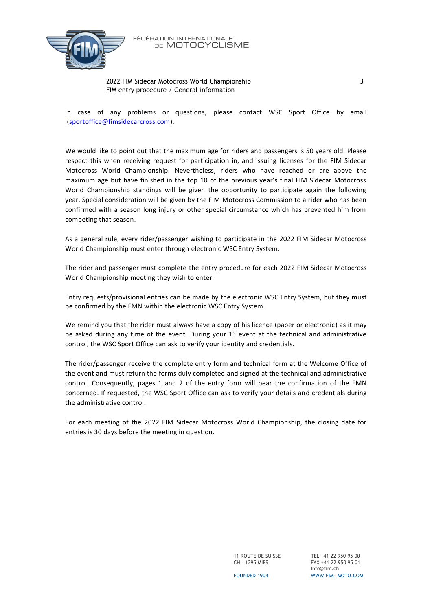

#### 2022 FIM Sidecar Motocross World Championship 3 FIM entry procedure / General information

In case of any problems or questions, please contact WSC Sport Office by email [\(sportoffice@fimsidecarcross.com\)](mailto:sportoffice@fimsidecarcross.com).

We would like to point out that the maximum age for riders and passengers is 50 years old. Please respect this when receiving request for participation in, and issuing licenses for the FIM Sidecar Motocross World Championship. Nevertheless, riders who have reached or are above the maximum age but have finished in the top 10 of the previous year's final FIM Sidecar Motocross World Championship standings will be given the opportunity to participate again the following year. Special consideration will be given by the FIM Motocross Commission to a rider who has been confirmed with a season long injury or other special circumstance which has prevented him from competing that season.

As a general rule, every rider/passenger wishing to participate in the 2022 FIM Sidecar Motocross World Championship must enter through electronic WSC Entry System.

The rider and passenger must complete the entry procedure for each 2022 FIM Sidecar Motocross World Championship meeting they wish to enter.

Entry requests/provisional entries can be made by the electronic WSC Entry System, but they must be confirmed by the FMN within the electronic WSC Entry System.

We remind you that the rider must always have a copy of his licence (paper or electronic) as it may be asked during any time of the event. During your  $1<sup>st</sup>$  event at the technical and administrative control, the WSC Sport Office can ask to verify your identity and credentials.

The rider/passenger receive the complete entry form and technical form at the Welcome Office of the event and must return the forms duly completed and signed at the technical and administrative control. Consequently, pages 1 and 2 of the entry form will bear the confirmation of the FMN concerned. If requested, the WSC Sport Office can ask to verify your details and credentials during the administrative control.

For each meeting of the 2022 FIM Sidecar Motocross World Championship, the closing date for entries is 30 days before the meeting in question.

> 11 ROUTE DE SUISSE CH – 1295 MIES

TEL +41 22 950 95 00 FAX +41 22 950 95 01 Info@fim.ch WWW.FIM- MOTO.COM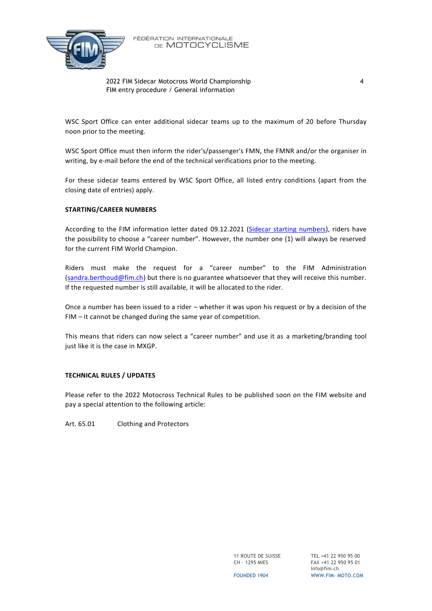

2022 FIM Sidecar Motocross World Championship 4 FIM entry procedure / General information

WSC Sport Office can enter additional sidecar teams up to the maximum of 20 before Thursday noon prior to the meeting.

WSC Sport Office must then inform the rider's/passenger's FMN, the FMNR and/or the organiser in writing, by e-mail before the end of the technical verifications prior to the meeting.

For these sidecar teams entered by WSC Sport Office, all listed entry conditions (apart from the closing date of entries) apply.

#### **STARTING/CAREER NUMBERS**

According to the FIM information letter dated 09.12.2021 [\(Sidecar starting](https://www.fim-moto.com/fileadmin/user_upload/Documents/2021/CMS_SIDE_2022_STARTING_NUMBERS_E.pdf) numbers), riders have the possibility to choose a "career number". However, the number one (1) will always be reserved for the current FIM World Champion.

Riders must make the request for a "career number" to the FIM Administration [\(sandra.berthoud@fim.ch\)](mailto:sandra.berthoud@fim.ch) but there is no guarantee whatsoever that they will receive this number. If the requested number is still available, it will be allocated to the rider.

Once a number has been issued to a rider – whether it was upon his request or by a decision of the FIM – it cannot be changed during the same year of competition.

This means that riders can now select a "career number" and use it as a marketing/branding tool just like it is the case in MXGP.

### **TECHNICAL RULES / UPDATES**

Please refer to the 2022 Motocross Technical Rules to be published soon on the FIM website and pay a special attention to the following article:

Art. 65.01 Clothing and Protectors

11 ROUTE DE SUISSE CH – 1295 MIES

TEL +41 22 950 95 00 FAX +41 22 950 95 01 Info@fim.ch WWW.FIM- MOTO.COM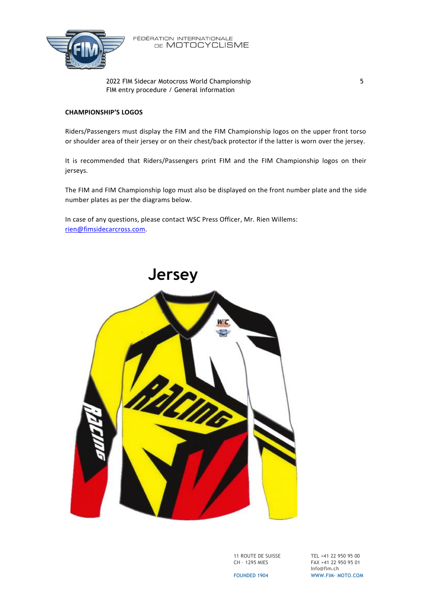

2022 FIM Sidecar Motocross World Championship 5 FIM entry procedure / General information

#### **CHAMPIONSHIP'S LOGOS**

Riders/Passengers must display the FIM and the FIM Championship logos on the upper front torso or shoulder area of their jersey or on their chest/back protector if the latter is worn over the jersey.

It is recommended that Riders/Passengers print FIM and the FIM Championship logos on their jerseys.

The FIM and FIM Championship logo must also be displayed on the front number plate and the side number plates as per the diagrams below.

In case of any questions, please contact WSC Press Officer, Mr. Rien Willems: [rien@fimsidecarcross.com.](mailto:rien@fimsidecarcross.com)



11 ROUTE DE SUISSE CH – 1295 MIES

TEL +41 22 950 95 00 FAX +41 22 950 95 01 Info@fim.ch WWW.FIM- MOTO.COM